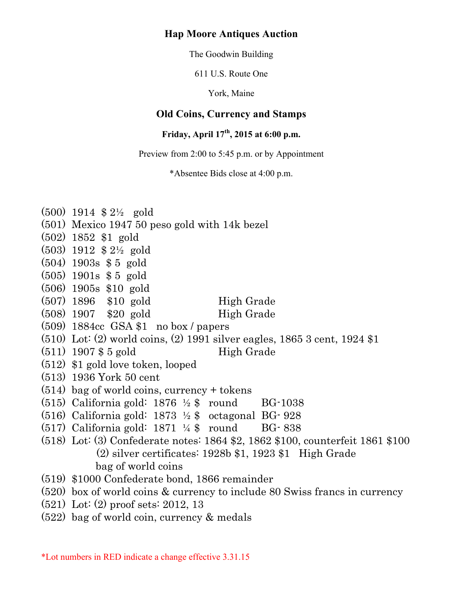### **Hap Moore Antiques Auction**

The Goodwin Building

611 U.S. Route One

York, Maine

# **Old Coins, Currency and Stamps**

# **Friday, April 17th, 2015 at 6:00 p.m.**

Preview from 2:00 to 5:45 p.m. or by Appointment

\*Absentee Bids close at 4:00 p.m.

| $(500)$ 1914 \$ 2 <sup>1</sup> / <sub>2</sub> gold                              |
|---------------------------------------------------------------------------------|
| $(501)$ Mexico 1947 50 peso gold with 14k bezel                                 |
| $(502)$ 1852 \$1 gold                                                           |
| $(503)$ 1912 \$ 2 <sup>1</sup> / <sub>2</sub> gold                              |
| $(504)$ 1903s \$ 5 gold                                                         |
| $(505)$ 1901s \$ 5 gold                                                         |
| $(506)$ 1905s \$10 gold                                                         |
| $(507)$ 1896 \$10 gold<br>High Grade                                            |
| $(508)$ 1907 \$20 gold<br>High Grade                                            |
| $(509)$ 1884cc GSA \$1 no box / papers                                          |
| $(510)$ Lot: $(2)$ world coins, $(2)$ 1991 silver eagles, 1865 3 cent, 1924 \$1 |
| $(511)$ 1907 \$ 5 gold<br>High Grade                                            |
| $(512)$ \$1 gold love token, looped                                             |
| $(513)$ 1936 York 50 cent                                                       |
| $(514)$ bag of world coins, currency + tokens                                   |
| $(515)$ California gold: 1876 $\frac{1}{2}$ \$ round BG-1038                    |
| $(516)$ California gold: 1873 $\frac{1}{2}$ \$ octagonal BG-928                 |
| $(517)$ California gold: 1871 ¼ \$ round BG-838                                 |
| (518) Lot: (3) Confederate notes: 1864 \$2, 1862 \$100, counterfeit 1861 \$100  |
| $(2)$ silver certificates: 1928b \$1, 1923 \$1 High Grade                       |
| bag of world coins                                                              |
| (519) \$1000 Confederate bond, 1866 remainder                                   |
| (520) box of world coins & currency to include 80 Swiss francs in currency      |
| $(521)$ Lot: $(2)$ proof sets: 2012, 13                                         |
| $(522)$ bag of world coin, currency & medals                                    |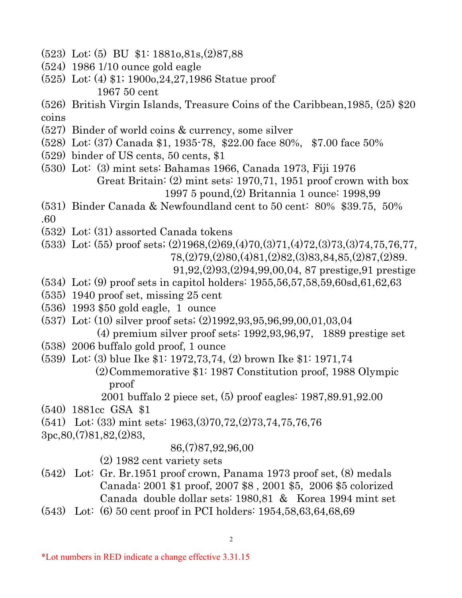- (523) Lot: (5) BU \$1: 1881o,81s,(2)87,88
- (524) 1986 1/10 ounce gold eagle
- (525) Lot: (4) \$1; 1900o,24,27,1986 Statue proof 1967 50 cent
- (526) British Virgin Islands, Treasure Coins of the Caribbean,1985, (25) \$20 coins
- (527) Binder of world coins & currency, some silver
- (528) Lot: (37) Canada \$1, 1935-78, \$22.00 face 80%, \$7.00 face 50%
- (529) binder of US cents, 50 cents, \$1
- (530) Lot: (3) mint sets: Bahamas 1966, Canada 1973, Fiji 1976 Great Britain: (2) mint sets: 1970,71, 1951 proof crown with box 1997 5 pound,(2) Britannia 1 ounce: 1998,99
- (531) Binder Canada & Newfoundland cent to 50 cent: 80% \$39.75, 50% .60
- (532) Lot: (31) assorted Canada tokens
- (533) Lot: (55) proof sets; (2)1968,(2)69,(4)70,(3)71,(4)72,(3)73,(3)74,75,76,77, 78,(2)79,(2)80,(4)81,(2)82,(3)83,84,85,(2)87,(2)89.
	- 91,92,(2)93,(2)94,99,00,04, 87 prestige,91 prestige
- (534) Lot; (9) proof sets in capitol holders: 1955,56,57,58,59,60sd,61,62,63
- (535) 1940 proof set, missing 25 cent
- (536) 1993 \$50 gold eagle, 1 ounce
- (537) Lot: (10) silver proof sets; (2)1992,93,95,96,99,00,01,03,04
	- (4) premium silver proof sets: 1992,93,96,97, 1889 prestige set
- (538) 2006 buffalo gold proof, 1 ounce
- (539) Lot: (3) blue Ike \$1: 1972,73,74, (2) brown Ike \$1: 1971,74
	- (2)Commemorative \$1: 1987 Constitution proof, 1988 Olympic proof
		- 2001 buffalo 2 piece set, (5) proof eagles: 1987,89.91,92.00
- (540) 1881cc GSA \$1
- (541) Lot: (33) mint sets: 1963,(3)70,72,(2)73,74,75,76,76
- 3pc,80,(7)81,82,(2)83,

### 86,(7)87,92,96,00

### (2) 1982 cent variety sets

- (542) Lot: Gr. Br.1951 proof crown, Panama 1973 proof set, (8) medals Canada: 2001 \$1 proof, 2007 \$8 , 2001 \$5, 2006 \$5 colorized Canada double dollar sets: 1980,81 & Korea 1994 mint set
- (543) Lot: (6) 50 cent proof in PCI holders: 1954,58,63,64,68,69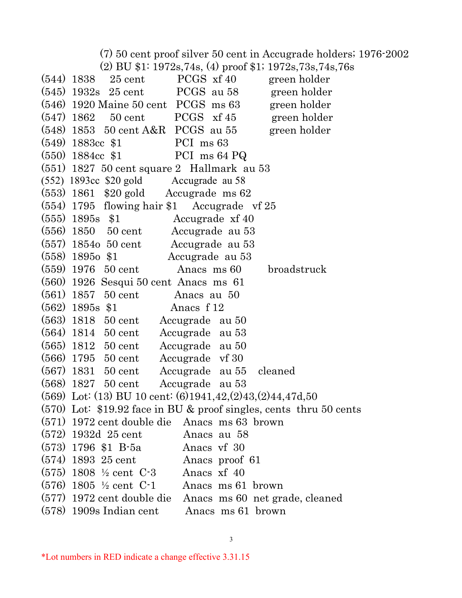(7) 50 cent proof silver 50 cent in Accugrade holders; 1976-2002

(2) BU \$1: 1972s,74s, (4) proof \$1; 1972s,73s,74s,76s

 $(544)$  1838 25 cent PCGS xf 40 green holder  $(545)$  1932s 25 cent PCGS au 58 green holder  $(546)$  1920 Maine 50 cent PCGS ms 63 green holder  $(547)$  1862 50 cent PCGS xf 45 green holder  $(548)$  1853 50 cent A&R PCGS au 55 green holder (549) 1883cc \$1 PCI ms 63 (550) 1884cc \$1 PCI ms 64 PQ (551) 1827 50 cent square 2 Hallmark au 53 (552) 1893cc \$20 gold Accugrade au 58 (553) 1861 \$20 gold Accugrade ms 62 (554) 1795 flowing hair \$1 Accugrade vf 25 (555) 1895s \$1 Accugrade xf 40 (556) 1850 50 cent Accugrade au 53 (557) 1854o 50 cent Accugrade au 53 (558) 1895o \$1 Accugrade au 53 (559) 1976 50 cent Anacs ms 60 broadstruck (560) 1926 Sesqui 50 cent Anacs ms 61 (561) 1857 50 cent Anacs au 50 (562) 1895s \$1 Anacs f 12 (563) 1818 50 cent Accugrade au 50 (564) 1814 50 cent Accugrade au 53 (565) 1812 50 cent Accugrade au 50 (566) 1795 50 cent Accugrade vf 30 (567) 1831 50 cent Accugrade au 55 cleaned (568) 1827 50 cent Accugrade au 53 (569) Lot: (13) BU 10 cent: (6)1941,42,(2)43,(2)44,47d,50 (570) Lot: \$19.92 face in BU & proof singles, cents thru 50 cents (571) 1972 cent double die Anacs ms 63 brown (572) 1932d 25 cent Anacs au 58 (573) 1796 \$1 B-5a Anacs vf 30 (574) 1893 25 cent Anacs proof 61 (575) 1808 ½ cent C-3 Anacs xf 40 (576) 1805 ½ cent C-1 Anacs ms 61 brown (577) 1972 cent double die Anacs ms 60 net grade, cleaned (578) 1909s Indian cent Anacs ms 61 brown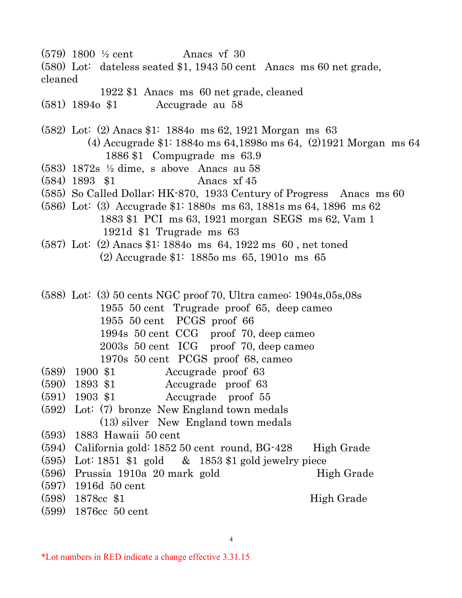- $(579)$  1800  $\frac{1}{2}$  cent Anacs vf 30
- (580) Lot: dateless seated \$1, 1943 50 cent Anacs ms 60 net grade, cleaned
	- 1922 \$1 Anacs ms 60 net grade, cleaned
- (581) 1894o \$1 Accugrade au 58

(582) Lot: (2) Anacs \$1: 1884o ms 62, 1921 Morgan ms 63

- (4) Accugrade \$1: 1884o ms 64,1898o ms 64, (2)1921 Morgan ms 64 1886 \$1 Compugrade ms 63.9
- (583) 1872s ½ dime, s above Anacs au 58
- (584) 1893 \$1 Anacs xf 45
- (585) So Called Dollar; HK-870, 1933 Century of Progress Anacs ms 60
- (586) Lot: (3) Accugrade \$1: 1880s ms 63, 1881s ms 64, 1896 ms 62 1883 \$1 PCI ms 63, 1921 morgan SEGS ms 62, Vam 1 1921d \$1 Trugrade ms 63
- (587) Lot: (2) Anacs \$1: 1884o ms 64, 1922 ms 60 , net toned (2) Accugrade \$1: 1885o ms 65, 1901o ms 65

(588) Lot: (3) 50 cents NGC proof 70, Ultra cameo: 1904s,05s,08s 1955 50 cent Trugrade proof 65, deep cameo 1955 50 cent PCGS proof 66 1994s 50 cent CCG proof 70, deep cameo 2003s 50 cent ICG proof 70, deep cameo

- 1970s 50 cent PCGS proof 68, cameo
- (589) 1900 \$1 Accugrade proof 63
- (590) 1893 \$1 Accugrade proof 63
- (591) 1903 \$1 Accugrade proof 55
- (592) Lot: (7) bronze New England town medals (13) silver New England town medals
- (593) 1883 Hawaii 50 cent
- (594) California gold: 1852 50 cent round, BG-428 High Grade
- (595) Lot: 1851 \$1 gold & 1853 \$1 gold jewelry piece
- $(596)$  Prussia 1910a 20 mark gold High Grade
- (597) 1916d 50 cent
- (598) 1878cc \$1 High Grade
- (599) 1876cc 50 cent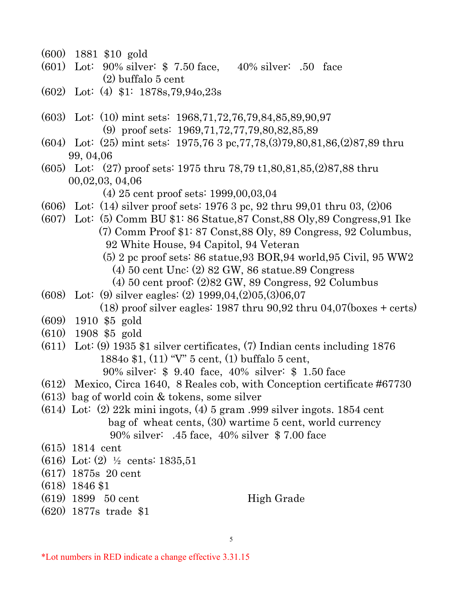- (600) 1881 \$10 gold
- (601) Lot: 90% silver: \$ 7.50 face, 40% silver: .50 face (2) buffalo 5 cent
- (602) Lot: (4) \$1: 1878s,79,94o,23s
- (603) Lot: (10) mint sets: 1968,71,72,76,79,84,85,89,90,97 (9) proof sets: 1969,71,72,77,79,80,82,85,89
- (604) Lot: (25) mint sets: 1975,76 3 pc,77,78,(3)79,80,81,86,(2)87,89 thru 99, 04,06
- (605) Lot: (27) proof sets: 1975 thru 78,79 t1,80,81,85,(2)87,88 thru 00,02,03, 04,06
	- (4) 25 cent proof sets: 1999,00,03,04
- (606) Lot: (14) silver proof sets: 1976 3 pc, 92 thru 99,01 thru 03, (2)06
- (607) Lot: (5) Comm BU \$1: 86 Statue,87 Const,88 Oly,89 Congress,91 Ike (7) Comm Proof \$1: 87 Const,88 Oly, 89 Congress, 92 Columbus, 92 White House, 94 Capitol, 94 Veteran
	- (5) 2 pc proof sets: 86 statue,93 BOR,94 world,95 Civil, 95 WW2
		- (4) 50 cent Unc: (2) 82 GW, 86 statue.89 Congress
		- (4) 50 cent proof: (2)82 GW, 89 Congress, 92 Columbus
- (608) Lot: (9) silver eagles: (2) 1999,04,(2)05,(3)06,07  $(18)$  proof silver eagles: 1987 thru 90,92 thru 04,07 $(b$ oxes + certs)
- (609) 1910 \$5 gold
- (610) 1908 \$5 gold
- (611) Lot: (9) 1935 \$1 silver certificates, (7) Indian cents including 1876 1884o \$1, (11) "V" 5 cent, (1) buffalo 5 cent, 90% silver: \$ 9.40 face, 40% silver: \$ 1.50 face
	-
- (612) Mexico, Circa 1640, 8 Reales cob, with Conception certificate #67730
- (613) bag of world coin & tokens, some silver
- (614) Lot: (2) 22k mini ingots, (4) 5 gram .999 silver ingots. 1854 cent bag of wheat cents, (30) wartime 5 cent, world currency 90% silver: .45 face, 40% silver \$ 7.00 face
- (615) 1814 cent
- (616) Lot: (2) ½ cents: 1835,51
- (617) 1875s 20 cent
- (618) 1846 \$1
- $(619)$  1899 50 cent High Grade
- (620) 1877s trade \$1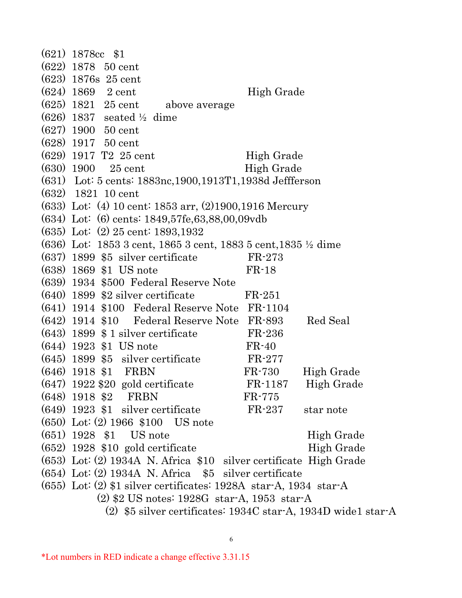|                                                               | $(621)$ 1878cc \$1                                                          |                  |            |  |
|---------------------------------------------------------------|-----------------------------------------------------------------------------|------------------|------------|--|
|                                                               | $(622)$ 1878 50 cent                                                        |                  |            |  |
|                                                               | $(623)$ 1876s 25 cent                                                       |                  |            |  |
|                                                               | $(624)$ 1869 2 cent                                                         | High Grade       |            |  |
|                                                               | $(625)$ 1821 25 cent above average                                          |                  |            |  |
|                                                               | $(626)$ 1837 seated $\frac{1}{2}$ dime                                      |                  |            |  |
|                                                               | $(627)$ 1900 50 cent                                                        |                  |            |  |
|                                                               | $(628)$ 1917 50 cent                                                        |                  |            |  |
|                                                               | $(629)$ 1917 T <sub>2</sub> 25 cent                                         | High Grade       |            |  |
|                                                               | $(630)$ 1900 25 cent                                                        | High Grade       |            |  |
|                                                               | (631) Lot: 5 cents: 1883nc, 1900, 1913T1, 1938d Jeffferson                  |                  |            |  |
|                                                               | $(632)$ 1821 10 cent                                                        |                  |            |  |
|                                                               | $(633)$ Lot: (4) 10 cent: 1853 arr, (2)1900,1916 Mercury                    |                  |            |  |
|                                                               | $(634)$ Lot: $(6)$ cents: 1849,57fe,63,88,00,09vdb                          |                  |            |  |
|                                                               | (635) Lot: (2) 25 cent: 1893,1932                                           |                  |            |  |
|                                                               | $(636)$ Lot: 1853 3 cent, 1865 3 cent, 1883 5 cent, 1835 $\frac{1}{2}$ dime |                  |            |  |
|                                                               | $(637)$ 1899 \$5 silver certificate                                         | $FR-273$         |            |  |
|                                                               | (638) 1869 \$1 US note                                                      | $FR-18$          |            |  |
|                                                               | (639) 1934 \$500 Federal Reserve Note                                       |                  |            |  |
|                                                               | $(640)$ 1899 \$2 silver certificate                                         | $FR-251$         |            |  |
|                                                               | (641) 1914 \$100 Federal Reserve Note FR-1104                               |                  |            |  |
|                                                               | $(642)$ 1914 \$10 Federal Reserve Note FR-893                               |                  | Red Seal   |  |
|                                                               | $(643)$ 1899 \$ 1 silver certificate                                        | $FR-236$         |            |  |
|                                                               | $(644)$ 1923 \$1 US note                                                    | $FR-40$          |            |  |
|                                                               | $(645)$ 1899 \$5 silver certificate                                         | $FR-277$         |            |  |
|                                                               | $(646)$ 1918 \$1 FRBN                                                       | FR-730           | High Grade |  |
|                                                               | $(647)$ 1922 \$20 gold certificate                                          | FR-1187          | High Grade |  |
|                                                               | $(648)$ 1918 \$2 FRBN                                                       | $FR-775$         |            |  |
|                                                               | $(649)$ 1923 \$1 silver certificate                                         | FR-237 star note |            |  |
|                                                               | $(650)$ Lot: $(2)$ 1966 \$100 US note                                       |                  |            |  |
|                                                               | $(651)$ 1928 \$1 US note                                                    |                  | High Grade |  |
|                                                               | $(652)$ 1928 \$10 gold certificate                                          |                  | High Grade |  |
|                                                               | $(653)$ Lot: (2) 1934A N. Africa \$10 silver certificate High Grade         |                  |            |  |
|                                                               | $(654)$ Lot: (2) 1934A N. Africa $$5$ silver certificate                    |                  |            |  |
|                                                               | $(655)$ Lot: (2) \$1 silver certificates: 1928A star-A, 1934 star-A         |                  |            |  |
| $(2)$ \$2 US notes: 1928G star-A, 1953 star-A                 |                                                                             |                  |            |  |
| (2) \$5 silver certificates: 1934C star-A, 1934D wide1 star-A |                                                                             |                  |            |  |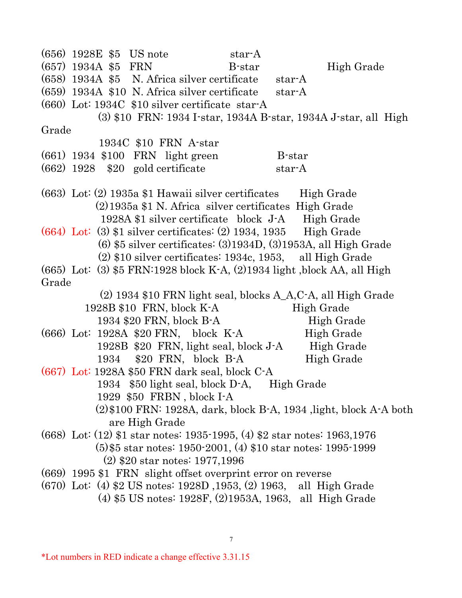(656) 1928E \$5 US note star-A  $(657)$  1934A \$5 FRN B-star High Grade (658) 1934A \$5 N. Africa silver certificate star-A (659) 1934A \$10 N. Africa silver certificate star-A (660) Lot: 1934C \$10 silver certificate star-A (3) \$10 FRN: 1934 I-star, 1934A B-star, 1934A J-star, all High Grade 1934C \$10 FRN A-star (661) 1934 \$100 FRN light green B-star  $(662)$  1928 \$20 gold certificate star-A  $(663)$  Lot:  $(2)$  1935a \$1 Hawaii silver certificates High Grade (2)1935a \$1 N. Africa silver certificates High Grade 1928A \$1 silver certificate block J-A High Grade  $(664)$  Lot: (3) \$1 silver certificates: (2) 1934, 1935 High Grade (6) \$5 silver certificates: (3)1934D, (3)1953A, all High Grade (2) \$10 silver certificates: 1934c, 1953, all High Grade (665) Lot: (3) \$5 FRN:1928 block K-A, (2)1934 light ,block AA, all High Grade (2) 1934 \$10 FRN light seal, blocks A\_A,C-A, all High Grade 1928B \$10 FRN, block K-A High Grade 1934 \$20 FRN, block B-A High Grade  $(666)$  Lot: 1928A \$20 FRN, block K-A High Grade 1928B \$20 FRN, light seal, block J-A High Grade 1934 \$20 FRN, block B-A High Grade (667) Lot: 1928A \$50 FRN dark seal, block C-A 1934 \$50 light seal, block D-A, High Grade 1929 \$50 FRBN , block I-A (2)\$100 FRN: 1928A, dark, block B-A, 1934 ,light, block A-A both are High Grade (668) Lot: (12) \$1 star notes: 1935-1995, (4) \$2 star notes: 1963,1976 (5)\$5 star notes: 1950-2001, (4) \$10 star notes: 1995-1999 (2) \$20 star notes: 1977,1996 (669) 1995 \$1 FRN slight offset overprint error on reverse (670) Lot: (4) \$2 US notes: 1928D ,1953, (2) 1963, all High Grade (4) \$5 US notes: 1928F, (2)1953A, 1963, all High Grade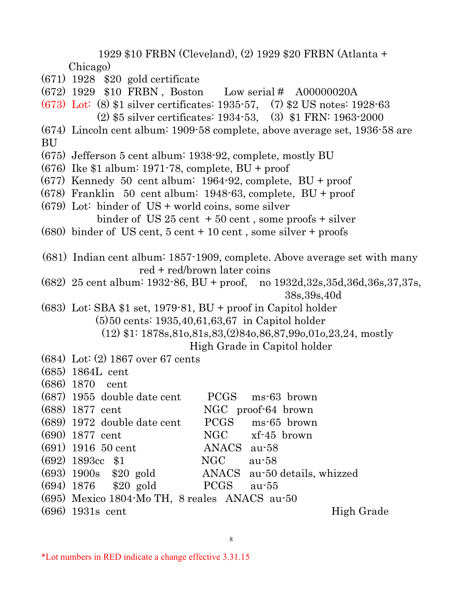1929 \$10 FRBN (Cleveland), (2) 1929 \$20 FRBN (Atlanta + Chicago)

- (671) 1928 \$20 gold certificate
- (672) 1929 \$10 FRBN , Boston Low serial # A00000020A
- (673) Lot: (8) \$1 silver certificates: 1935-57, (7) \$2 US notes: 1928-63 (2) \$5 silver certificates: 1934-53, (3) \$1 FRN: 1963-2000
- (674) Lincoln cent album: 1909-58 complete, above average set, 1936-58 are BU
- (675) Jefferson 5 cent album: 1938-92, complete, mostly BU
- (676) Ike \$1 album: 1971-78, complete, BU + proof
- (677) Kennedy 50 cent album: 1964-92, complete, BU + proof
- (678) Franklin 50 cent album: 1948-63, complete, BU + proof
- (679) Lot: binder of US + world coins, some silver

- $(680)$  binder of US cent,  $5$  cent + 10 cent, some silver + proofs
- (681) Indian cent album: 1857-1909, complete. Above average set with many red + red/brown later coins
- (682) 25 cent album: 1932-86, BU + proof, no 1932d,32s,35d,36d,36s,37,37s, 38s,39s,40d
- (683) Lot: SBA \$1 set, 1979-81, BU + proof in Capitol holder (5)50 cents: 1935,40,61,63,67 in Capitol holder

(12) \$1: 1878s,81o,81s,83,(2)84o,86,87,99o,01o,23,24, mostly

High Grade in Capitol holder

- (684) Lot: (2) 1867 over 67 cents
- (685) 1864L cent

| $(687)$ 1955 double date cent                        |             | PCGS ms-63 brown   |            |
|------------------------------------------------------|-------------|--------------------|------------|
| $(688)$ 1877 cent                                    |             | NGC proof-64 brown |            |
| $(689)$ 1972 double date cent                        |             | PCGS ms-65 brown   |            |
| $(690)$ 1877 cent                                    |             | NGC xf-45 brown    |            |
| $(691)$ 1916 50 cent                                 | ANACS au-58 |                    |            |
| $(692)$ 1893cc \$1                                   | NGC         | au-58              |            |
| $(693)$ 1900s \$20 gold ANACS au-50 details, whizzed |             |                    |            |
| (694) 1876 \$20 gold PCGS au-55                      |             |                    |            |
| (695) Mexico 1804 Mo TH, 8 reales ANACS au-50        |             |                    |            |
| $(696)$ 1931s cent                                   |             |                    | High Grade |
|                                                      |             |                    |            |

binder of US  $25$  cent  $+50$  cent, some proofs  $+$  silver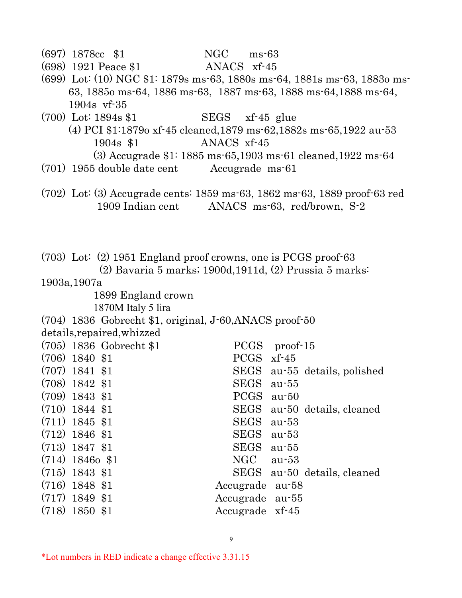| $(697)$ 1878cc \$1                                                 | NGC<br>$ms-63$                                                              |
|--------------------------------------------------------------------|-----------------------------------------------------------------------------|
| (698) 1921 Peace \$1                                               | ANACS xf-45                                                                 |
|                                                                    | $(699)$ Lot: (10) NGC \$1: 1879s ms-63, 1880s ms-64, 1881s ms-63, 1883o ms- |
|                                                                    | 63, 1885 o ms 64, 1886 ms 63, 1887 ms 63, 1888 ms 64, 1888 ms 64,           |
| $1904s$ vf $-35$                                                   |                                                                             |
| $(700)$ Lot: 1894s \$1                                             | SEGS xf-45 glue                                                             |
|                                                                    | (4) PCI \$1:1879o xf-45 cleaned, 1879 ms-62, 1882s ms-65, 1922 au-53        |
| 1904s \$1                                                          | ANACS xf-45                                                                 |
|                                                                    | $(3)$ Accugrade \$1: 1885 ms 65,1903 ms 61 cleaned, 1922 ms 64              |
| $(701)$ 1955 double date cent                                      | Accugrade ms-61                                                             |
|                                                                    |                                                                             |
|                                                                    | $(702)$ Lot: (3) Accugrade cents: 1859 ms-63, 1862 ms-63, 1889 proof-63 red |
| 1909 Indian cent                                                   | ANACS ms-63, red/brown, S-2                                                 |
|                                                                    |                                                                             |
|                                                                    |                                                                             |
|                                                                    |                                                                             |
| $(703)$ Lot: $(2)$ 1951 England proof crowns, one is PCGS proof-63 |                                                                             |
|                                                                    | $(2)$ Bavaria 5 marks; 1900d, 1911d, $(2)$ Prussia 5 marks:                 |
| 1903a, 1907a                                                       |                                                                             |
| 1899 England crown                                                 |                                                                             |
| 1870M Italy 5 lira                                                 |                                                                             |
| (704) 1836 Gobrecht \$1, original, J-60, ANACS proof-50            |                                                                             |
| details, repaired, whizzed                                         |                                                                             |
| $(705)$ 1836 Gobrecht \$1                                          | PCGS proof-15                                                               |
| $(706)$ 1840 \$1                                                   | $PCGS$ xf-45                                                                |
| $(707)$ 1841 \$1                                                   | SEGS au-55 details, polished                                                |
| $(708)$ 1842 \$1                                                   | SEGS<br>$au-55$                                                             |
| $(709)$ 1843 \$1                                                   | <b>PCGS</b><br>$au-50$                                                      |
| $(710)$ 1844 \$1                                                   | <b>SEGS</b><br>au-50 details, cleaned                                       |
| $(711)$ 1845 \$1                                                   | <b>SEGS</b><br>$au-53$                                                      |
| $(712)$ 1846 \$1                                                   | <b>SEGS</b><br>$au-53$                                                      |
| $(713)$ 1847 \$1                                                   | <b>SEGS</b><br>$au-55$                                                      |
| $(714)$ 18460 \$1                                                  | NGC<br>$au-53$                                                              |
| $(715)$ 1843 \$1                                                   | <b>SEGS</b><br>au-50 details, cleaned                                       |
| $(716)$ 1848 \$1                                                   | Accugrade<br>au-58                                                          |
| $(717)$ 1849 \$1                                                   | Accugrade<br>$au-55$                                                        |
| $(718)$ 1850 \$1                                                   | Accugrade xf-45                                                             |
|                                                                    |                                                                             |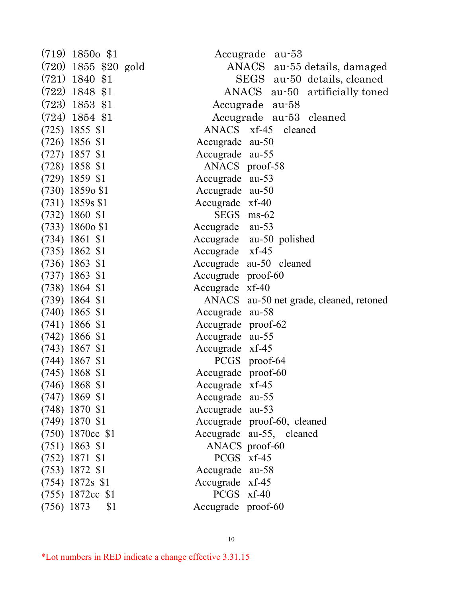| $(719)$ 1850 <sub>0</sub> \$1 | Accugrade au-53                         |
|-------------------------------|-----------------------------------------|
| $(720)$ 1855 \$20 gold        | ANACS au-55 details, damaged            |
| $(721)$ 1840 \$1              | SEGS au-50 details, cleaned             |
| $(722)$ 1848 \$1              | ANACS au-50 artificially toned          |
| $(723)$ 1853 \$1              | Accugrade au-58                         |
| $(724)$ 1854 \$1              | Accugrade au-53 cleaned                 |
| $(725)$ 1855 \$1              | ANACS xf-45 cleaned                     |
| $(726)$ 1856 \$1              | Accugrade au-50                         |
| $(727)$ 1857 \$1              | Accugrade au-55                         |
| $(728)$ 1858 \$1              | ANACS proof-58                          |
| $(729)$ 1859 \$1              | Accugrade au-53                         |
| $(730)$ 1859 $\sigma$ \$1     | Accugrade au-50                         |
| $(731)$ 1859s \$1             | Accugrade xf-40                         |
| $(732)$ 1860 \$1              | SEGS ms-62                              |
| $(733)$ 1860o \$1             | Accugrade au-53                         |
| $(734)$ 1861 \$1              | Accugrade au-50 polished                |
| $(735)$ 1862 \$1              | Accugrade xf-45                         |
| $(736)$ 1863 \$1              | Accugrade au-50 cleaned                 |
| $(737)$ 1863 \$1              | Accugrade proof-60                      |
| $(738)$ 1864 \$1              | Accugrade xf-40                         |
| $(739)$ 1864 \$1              | ANACS au-50 net grade, cleaned, retoned |
| $(740)$ 1865 \$1              | Accugrade au-58                         |
| $(741)$ 1866 \$1              | Accugrade proof-62                      |
| $(742)$ 1866 \$1              | Accugrade au-55                         |
| $(743)$ 1867 \$1              | Accugrade xf-45                         |
| $(744)$ 1867 \$1              | PCGS proof-64                           |
| $(745)$ 1868 \$1              | Accugrade proof-60                      |
| $(746)$ 1868 \$1              | Accugrade xf-45                         |
| $(747)$ 1869 \$1              | Accugrade au-55                         |
| $(748)$ 1870 \$1              | Accugrade au-53                         |
| $(749)$ 1870 \$1              | Accugrade proof-60, cleaned             |
| $(750)$ 1870cc \$1            | Accugrade au-55, cleaned                |
| $(751)$ 1863 \$1              | ANACS proof-60                          |
| $(752)$ 1871 \$1              | PCGS xf-45                              |
| $(753)$ 1872 \$1              | Accugrade au-58                         |
| $(754)$ 1872s \$1             | Accugrade xf-45                         |
| $(755)$ 1872cc \$1            | PCGS xf-40                              |
| $(756)$ 1873<br>\$1           | Accugrade proof-60                      |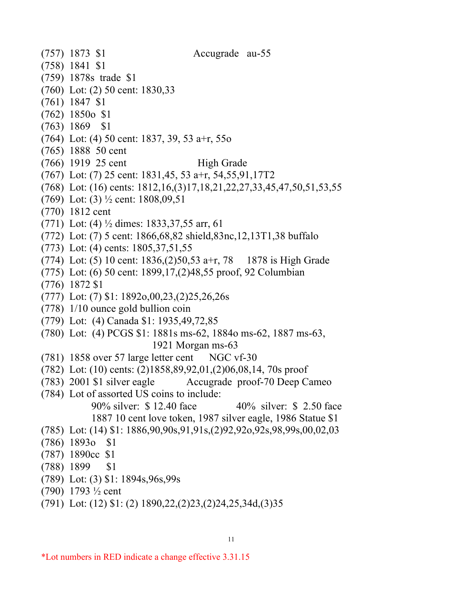- (757) 1873 \$1 Accugrade au-55
- (758) 1841 \$1
- (759) 1878s trade \$1
- (760) Lot: (2) 50 cent: 1830,33
- (761) 1847 \$1
- (762) 1850o \$1
- (763) 1869 \$1
- (764) Lot: (4) 50 cent: 1837, 39, 53 a+r, 55o
- (765) 1888 50 cent
- (766) 1919 25 cent High Grade
- (767) Lot: (7) 25 cent: 1831,45, 53 a+r, 54,55,91,17T2
- (768) Lot: (16) cents: 1812,16,(3)17,18,21,22,27,33,45,47,50,51,53,55
- (769) Lot: (3) ½ cent: 1808,09,51
- (770) 1812 cent
- (771) Lot: (4) ½ dimes: 1833,37,55 arr, 61
- (772) Lot: (7) 5 cent: 1866,68,82 shield,83nc,12,13T1,38 buffalo
- (773) Lot: (4) cents: 1805,37,51,55
- (774) Lot: (5) 10 cent: 1836,(2)50,53 a+r, 78 1878 is High Grade
- (775) Lot: (6) 50 cent: 1899,17,(2)48,55 proof, 92 Columbian
- (776) 1872 \$1
- (777) Lot: (7) \$1: 1892o,00,23,(2)25,26,26s
- (778) 1/10 ounce gold bullion coin
- (779) Lot: (4) Canada \$1: 1935,49,72,85
- (780) Lot: (4) PCGS \$1: 1881s ms-62, 1884o ms-62, 1887 ms-63, 1921 Morgan ms-63
- (781) 1858 over 57 large letter cent NGC vf-30
- (782) Lot: (10) cents: (2)1858,89,92,01,(2)06,08,14, 70s proof
- (783) 2001 \$1 silver eagle Accugrade proof-70 Deep Cameo
- (784) Lot of assorted US coins to include:
	- 90% silver: \$ 12.40 face 40% silver: \$ 2.50 face 1887 10 cent love token, 1987 silver eagle, 1986 Statue \$1
- (785) Lot: (14) \$1: 1886,90,90s,91,91s,(2)92,92o,92s,98,99s,00,02,03
- (786) 1893o \$1
- (787) 1890cc \$1
- (788) 1899 \$1
- (789) Lot: (3) \$1: 1894s,96s,99s
- (790) 1793 ½ cent
- (791) Lot: (12) \$1: (2) 1890,22,(2)23,(2)24,25,34d,(3)35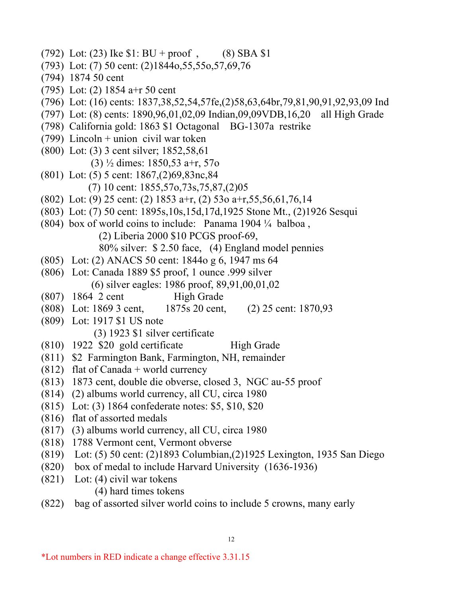- (792) Lot: (23) Ike  $$1: BU + proof$ , (8) SBA  $$1$
- (793) Lot: (7) 50 cent: (2)1844o,55,55o,57,69,76
- (794) 1874 50 cent
- (795) Lot: (2) 1854 a+r 50 cent
- (796) Lot: (16) cents: 1837,38,52,54,57fe,(2)58,63,64br,79,81,90,91,92,93,09 Ind
- (797) Lot: (8) cents: 1890,96,01,02,09 Indian,09,09VDB,16,20 all High Grade
- (798) California gold: 1863 \$1 Octagonal BG-1307a restrike
- (799) Lincoln + union civil war token
- (800) Lot: (3) 3 cent silver; 1852,58,61
	- (3) ½ dimes: 1850,53 a+r, 57o
- (801) Lot: (5) 5 cent: 1867,(2)69,83nc,84 (7) 10 cent: 1855,57o,73s,75,87,(2)05
- (802) Lot: (9) 25 cent: (2) 1853 a+r, (2) 53o a+r,55,56,61,76,14
- (803) Lot: (7) 50 cent: 1895s,10s,15d,17d,1925 Stone Mt., (2)1926 Sesqui
- (804) box of world coins to include: Panama 1904 ¼ balboa ,
	- (2) Liberia 2000 \$10 PCGS proof-69,
	- 80% silver: \$ 2.50 face, (4) England model pennies
- (805) Lot: (2) ANACS 50 cent: 1844o g 6, 1947 ms 64
- (806) Lot: Canada 1889 \$5 proof, 1 ounce .999 silver (6) silver eagles: 1986 proof, 89,91,00,01,02
- (807) 1864 2 cent High Grade
- (808) Lot: 1869 3 cent, 1875s 20 cent, (2) 25 cent: 1870,93
- (809) Lot: 1917 \$1 US note
	- (3) 1923 \$1 silver certificate
- $(810)$  1922 \$20 gold certificate High Grade
- (811) \$2 Farmington Bank, Farmington, NH, remainder
- $(812)$  flat of Canada + world currency
- (813) 1873 cent, double die obverse, closed 3, NGC au-55 proof
- (814) (2) albums world currency, all CU, circa 1980
- (815) Lot: (3) 1864 confederate notes: \$5, \$10, \$20
- (816) flat of assorted medals
- (817) (3) albums world currency, all CU, circa 1980
- (818) 1788 Vermont cent, Vermont obverse
- (819) Lot: (5) 50 cent: (2)1893 Columbian,(2)1925 Lexington, 1935 San Diego
- (820) box of medal to include Harvard University (1636-1936)
- (821) Lot: (4) civil war tokens
	- (4) hard times tokens
- (822) bag of assorted silver world coins to include 5 crowns, many early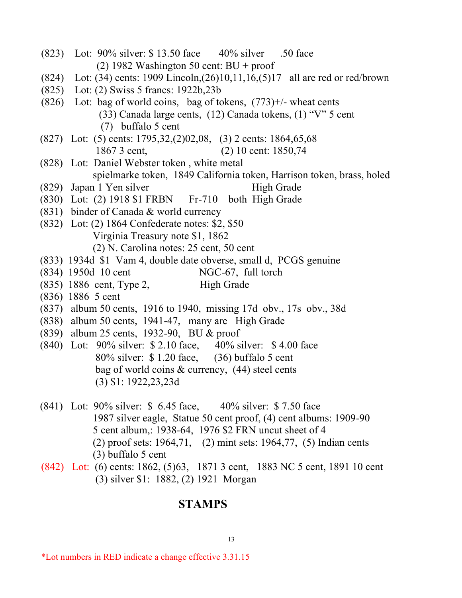- (823) Lot: 90% silver: \$ 13.50 face 40% silver .50 face (2) 1982 Washington 50 cent:  $BU + proof$ (824) Lot: (34) cents: 1909 Lincoln,(26)10,11,16,(5)17 all are red or red/brown (825) Lot: (2) Swiss 5 francs: 1922b,23b (826) Lot: bag of world coins, bag of tokens,  $(773)+/$ - wheat cents (33) Canada large cents, (12) Canada tokens, (1) "V" 5 cent (7) buffalo 5 cent (827) Lot: (5) cents: 1795,32,(2)02,08, (3) 2 cents: 1864,65,68 1867 3 cent, (2) 10 cent: 1850,74 (828) Lot: Daniel Webster token , white metal spielmarke token, 1849 California token, Harrison token, brass, holed (829) Japan 1 Yen silver High Grade (830) Lot: (2) 1918 \$1 FRBN Fr-710 both High Grade (831) binder of Canada & world currency (832) Lot: (2) 1864 Confederate notes: \$2, \$50 Virginia Treasury note \$1, 1862 (2) N. Carolina notes: 25 cent, 50 cent (833) 1934d \$1 Vam 4, double date obverse, small d, PCGS genuine (834) 1950d 10 cent NGC-67, full torch (835) 1886 cent, Type 2, High Grade (836) 1886 5 cent (837) album 50 cents, 1916 to 1940, missing 17d obv., 17s obv., 38d (838) album 50 cents, 1941-47, many are High Grade (839) album 25 cents, 1932-90, BU & proof (840) Lot: 90% silver: \$ 2.10 face, 40% silver: \$ 4.00 face 80% silver: \$ 1.20 face, (36) buffalo 5 cent bag of world coins & currency, (44) steel cents (3) \$1: 1922,23,23d (841) Lot: 90% silver: \$ 6.45 face, 40% silver: \$ 7.50 face 1987 silver eagle, Statue 50 cent proof, (4) cent albums: 1909-90 5 cent album,: 1938-64, 1976 \$2 FRN uncut sheet of 4
	- (2) proof sets: 1964,71, (2) mint sets: 1964,77, (5) Indian cents (3) buffalo 5 cent
	- (842) Lot: (6) cents: 1862, (5)63, 1871 3 cent, 1883 NC 5 cent, 1891 10 cent (3) silver \$1: 1882, (2) 1921 Morgan

### **STAMPS**